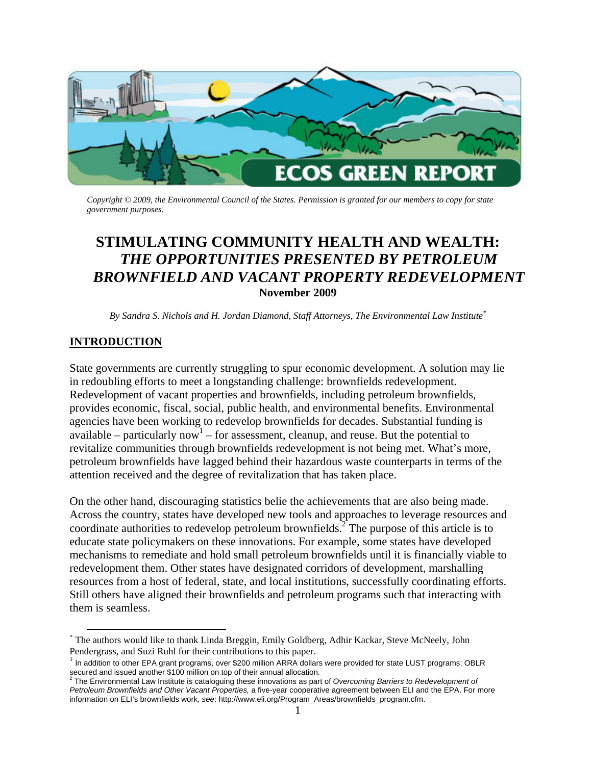

*Copyright © 2009, the Environmental Council of the States. Permission is granted for our members to copy for state government purposes.* 

# **STIMULATING COMMUNITY HEALTH AND WEALTH:**  *THE OPPORTUNITIES PRESENTED BY PETROLEUM BROWNFIELD AND VACANT PROPERTY REDEVELOPMENT* **November 2009**

*By Sandra S. Nichols and H. Jordan Diamond, Staff Attorneys, The Environmental Law Institute[\\*](#page-0-0)*

# **INTRODUCTION**

State governments are currently struggling to spur economic development. A solution may lie in redoubling efforts to meet a longstanding challenge: brownfields redevelopment. Redevelopment of vacant properties and brownfields, including petroleum brownfields, provides economic, fiscal, social, public health, and environmental benefits. Environmental agencies have been working to redevelop brownfields for decades. Substantial funding is available – particularly now<sup>1</sup> – for assessment, cleanup, and reuse. But the potential to revitalize communities through brownfields redevelopment is not being met. What's more, petroleum brownfields have lagged behind their hazardous waste counterparts in terms of the attention received and the degree of revitalization that has taken place.

On the other hand, discouraging statistics belie the achievements that are also being made. Across the country, states have developed new tools and approaches to leverage resources and coordinate authorities to redevelop petroleum brownfields.<sup>[2](#page-0-2)</sup> The purpose of this article is to educate state policymakers on these innovations. For example, some states have developed mechanisms to remediate and hold small petroleum brownfields until it is financially viable to redevelopment them. Other states have designated corridors of development, marshalling resources from a host of federal, state, and local institutions, successfully coordinating efforts. Still others have aligned their brownfields and petroleum programs such that interacting with them is seamless.

<span id="page-0-0"></span><sup>\*&</sup>lt;br>The authors would like to thank Linda Breggin, Emily Goldberg, Adhir Kackar, Steve McNeely, John<br>

<span id="page-0-1"></span>Pendergrass, and Suzi Ruhl for their contributions to this paper.<br><sup>1</sup> In addition to other EPA grant programs, over \$200 million ARRA dollars were provided for state LUST programs; OBLR

<span id="page-0-2"></span>secured and issued another \$100 million on top of their annual allocation. 2 The Environmental Law Institute is cataloguing these innovations as part of *Overcoming Barriers to Redevelopment of Petroleum Brownfields and Other Vacant Properties,* a five-year cooperative agreement between ELI and the EPA. For more information on ELI's brownfields work, *see*: http://www.eli.org/Program\_Areas/brownfields\_program.cfm.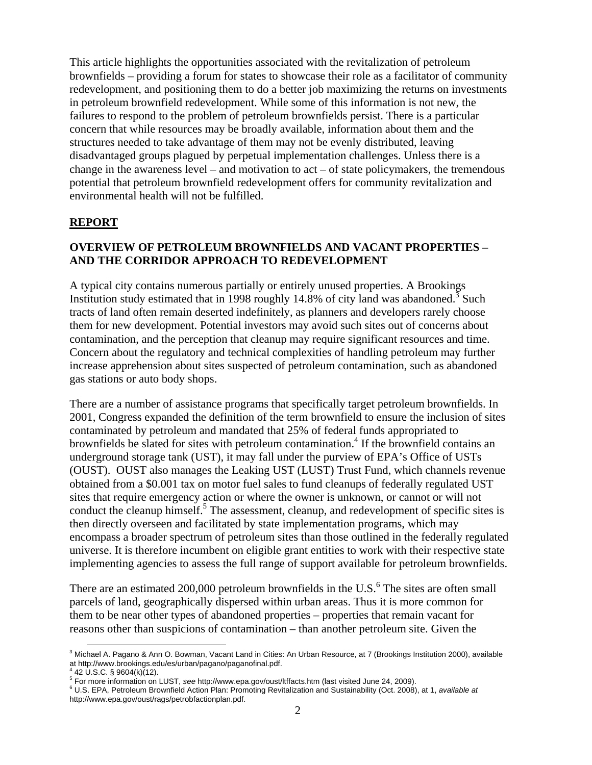This article highlights the opportunities associated with the revitalization of petroleum brownfields – providing a forum for states to showcase their role as a facilitator of community redevelopment, and positioning them to do a better job maximizing the returns on investments in petroleum brownfield redevelopment. While some of this information is not new, the failures to respond to the problem of petroleum brownfields persist. There is a particular concern that while resources may be broadly available, information about them and the structures needed to take advantage of them may not be evenly distributed, leaving disadvantaged groups plagued by perpetual implementation challenges. Unless there is a change in the awareness level – and motivation to  $act - of$  state policymakers, the tremendous potential that petroleum brownfield redevelopment offers for community revitalization and environmental health will not be fulfilled.

# **REPORT**

# **OVERVIEW OF PETROLEUM BROWNFIELDS AND VACANT PROPERTIES – AND THE CORRIDOR APPROACH TO REDEVELOPMENT**

A typical city contains numerous partially or entirely unused properties. A Brookings Institution study estimated that in 1998 roughly 14.8% of city land was abandoned.<sup>[3](#page-1-0)</sup> Such tracts of land often remain deserted indefinitely, as planners and developers rarely choose them for new development. Potential investors may avoid such sites out of concerns about contamination, and the perception that cleanup may require significant resources and time. Concern about the regulatory and technical complexities of handling petroleum may further increase apprehension about sites suspected of petroleum contamination, such as abandoned gas stations or auto body shops.

There are a number of assistance programs that specifically target petroleum brownfields. In 2001, Congress expanded the definition of the term brownfield to ensure the inclusion of sites contaminated by petroleum and mandated that 25% of federal funds appropriated to brownfields be slated for sites with petroleum contamination.<sup>[4](#page-1-1)</sup> If the brownfield contains an underground storage tank (UST), it may fall under the purview of EPA's Office of USTs (OUST). OUST also manages the Leaking UST (LUST) Trust Fund, which channels revenue obtained from a \$0.001 tax on motor fuel sales to fund cleanups of federally regulated UST sites that require emergency action or where the owner is unknown, or cannot or will not conduct the cleanup himself.<sup>[5](#page-1-2)</sup> The assessment, cleanup, and redevelopment of specific sites is then directly overseen and facilitated by state implementation programs, which may encompass a broader spectrum of petroleum sites than those outlined in the federally regulated universe. It is therefore incumbent on eligible grant entities to work with their respective state implementing agencies to assess the full range of support available for petroleum brownfields.

There are an estimated 200,000 petroleum brownfields in the U.S. $\text{6}$  $\text{6}$  $\text{6}$  The sites are often small parcels of land, geographically dispersed within urban areas. Thus it is more common for them to be near other types of abandoned properties – properties that remain vacant for reasons other than suspicions of contamination – than another petroleum site. Given the

<span id="page-1-0"></span><sup>3</sup> Michael A. Pagano & Ann O. Bowman, Vacant Land in Cities: An Urban Resource, at 7 (Brookings Institution 2000), available at http://www.brookings.edu/es/urban/pagano/paganofinal.pdf.

<span id="page-1-1"></span> <sup>42</sup> U.S.C. § 9604(k)(12).

<span id="page-1-2"></span><sup>&</sup>lt;sup>5</sup> For more information on LUST, *see* http://www.epa.gov/oust/ltffacts.htm (last visited June 24, 2009).<br><sup>6</sup> LLS EDA, Retraisum Braumfield Astics Plan: Prematics Revitalization and Sustainability (Oct. 2008).

<span id="page-1-3"></span>U.S. EPA, Petroleum Brownfield Action Plan: Promoting Revitalization and Sustainability (Oct. 2008), at 1, *available at* http://www.epa.gov/oust/rags/petrobfactionplan.pdf.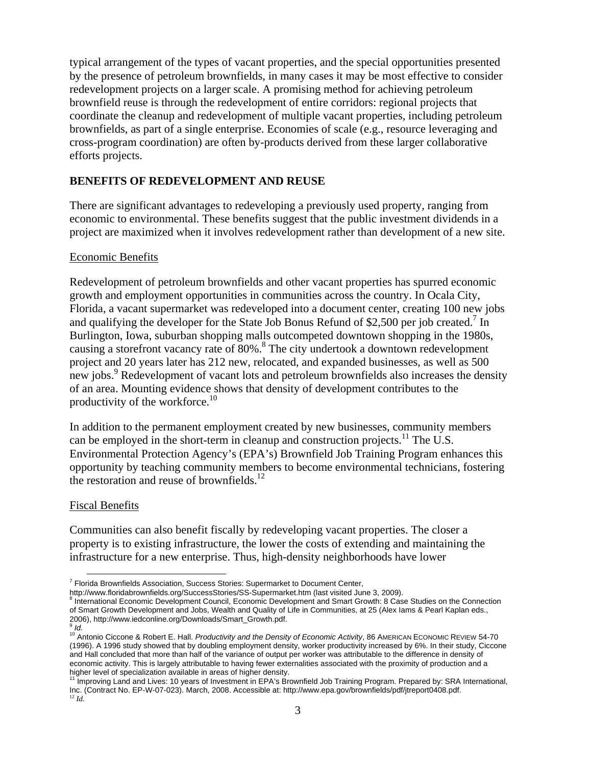typical arrangement of the types of vacant properties, and the special opportunities presented by the presence of petroleum brownfields, in many cases it may be most effective to consider redevelopment projects on a larger scale. A promising method for achieving petroleum brownfield reuse is through the redevelopment of entire corridors: regional projects that coordinate the cleanup and redevelopment of multiple vacant properties, including petroleum brownfields, as part of a single enterprise. Economies of scale (e.g., resource leveraging and cross-program coordination) are often by-products derived from these larger collaborative efforts projects.

# **BENEFITS OF REDEVELOPMENT AND REUSE**

There are significant advantages to redeveloping a previously used property, ranging from economic to environmental. These benefits suggest that the public investment dividends in a project are maximized when it involves redevelopment rather than development of a new site.

#### Economic Benefits

Redevelopment of petroleum brownfields and other vacant properties has spurred economic growth and employment opportunities in communities across the country. In Ocala City, Florida, a vacant supermarket was redeveloped into a document center, creating 100 new jobs and qualifying the developer for the State Job Bonus Refund of \$2,500 per job created.<sup>[7](#page-2-0)</sup> In Burlington, Iowa, suburban shopping malls outcompeted downtown shopping in the 1980s, causing a storefront vacancy rate of [8](#page-2-1)0%.<sup>8</sup> The city undertook a downtown redevelopment project and 20 years later has 212 new, relocated, and expanded businesses, as well as 500 new jobs.<sup>[9](#page-2-2)</sup> Redevelopment of vacant lots and petroleum brownfields also increases the density of an area. Mounting evidence shows that density of development contributes to the productivity of the workforce.<sup>[10](#page-2-3)</sup>

In addition to the permanent employment created by new businesses, community members can be employed in the short-term in cleanup and construction projects.<sup>11</sup> The U.S. Environmental Protection Agency's (EPA's) Brownfield Job Training Program enhances this opportunity by teaching community members to become environmental technicians, fostering the restoration and reuse of brownfields. $12$ 

## Fiscal Benefits

Communities can also benefit fiscally by redeveloping vacant properties. The closer a property is to existing infrastructure, the lower the costs of extending and maintaining the infrastructure for a new enterprise. Thus, high-density neighborhoods have lower

<span id="page-2-0"></span>http://www.floridabrownfields.org/SuccessStories/SS-Supermarket.htm (last visited June 3, 2009).

<span id="page-2-1"></span> International Economic Development Council, Economic Development and Smart Growth: 8 Case Studies on the Connection of Smart Growth Development and Jobs, Wealth and Quality of Life in Communities, at 25 (Alex Iams & Pearl Kaplan eds., 2006), http://www.iedconline.org/Downloads/Smart\_Growth.pdf.<br>9 Id.

**ENET ASSE TEE THE EXET ASSESSED TRANSHIFT CONCLLENT**<br>Tripling and a Brownfields Association, Success Stories: Supermarket to Document Center,

<span id="page-2-3"></span><span id="page-2-2"></span><sup>&</sup>lt;sup>10</sup> Antonio Ciccone & Robert E. Hall. *Productivity and the Density of Economic Activity*, 86 AMERICAN ECONOMIC REVIEW 54-70 (1996). A 1996 study showed that by doubling employment density, worker productivity increased by 6%. In their study, Ciccone and Hall concluded that more than half of the variance of output per worker was attributable to the difference in density of economic activity. This is largely attributable to having fewer externalities associated with the proximity of production and a higher level of specialization available in areas of higher density.<br><sup>11</sup> Improving Land and Lives: 10 years of Investment in EPA's Brownfield Job Training Program. Prepared by: SRA International,

<span id="page-2-5"></span><span id="page-2-4"></span>Inc. (Contract No. EP-W-07-023). March, 2008. Accessible at: http://www.epa.gov/brownfields/pdf/jtreport0408.pdf. 12 *Id.*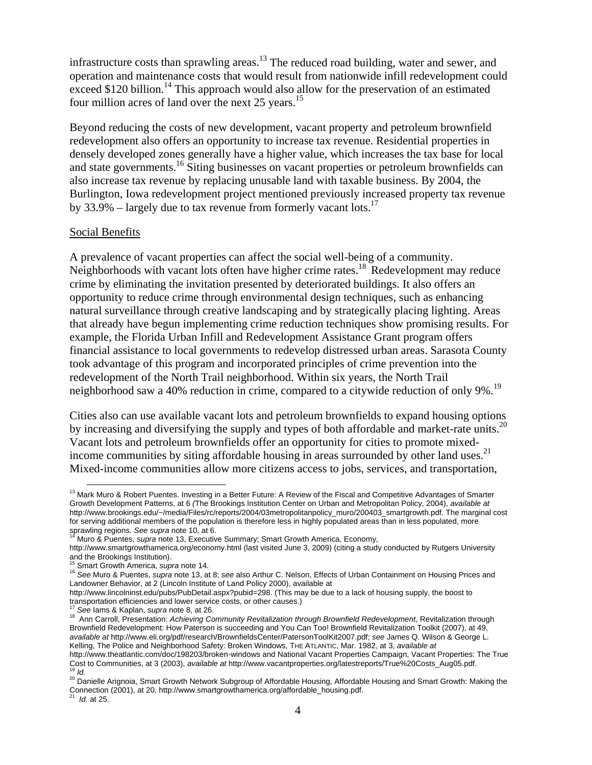infrastructure costs than sprawling areas. $13$  The reduced road building, water and sewer, and operation and maintenance costs that would result from nationwide infill redevelopment could exceed \$120 billion.<sup>14</sup> This approach would also allow for the preservation of an estimated four million acres of land over the next 25 years.<sup>[15](#page-3-2)</sup>

Beyond reducing the costs of new development, vacant property and petroleum brownfield redevelopment also offers an opportunity to increase tax revenue. Residential properties in densely developed zones generally have a higher value, which increases the tax base for local and state governments.<sup>16</sup> Siting businesses on vacant properties or petroleum brownfields can also increase tax revenue by replacing unusable land with taxable business. By 2004, the Burlington, Iowa redevelopment project mentioned previously increased property tax revenue by 33.9% – largely due to tax revenue from formerly vacant lots.<sup>17</sup>

#### Social Benefits

A prevalence of vacant properties can affect the social well-being of a community. Neighborhoods with vacant lots often have higher crime rates.[18](#page-3-5) Redevelopment may reduce crime by eliminating the invitation presented by deteriorated buildings. It also offers an opportunity to reduce crime through environmental design techniques, such as enhancing natural surveillance through creative landscaping and by strategically placing lighting. Areas that already have begun implementing crime reduction techniques show promising results. For example, the Florida Urban Infill and Redevelopment Assistance Grant program offers financial assistance to local governments to redevelop distressed urban areas. Sarasota County took advantage of this program and incorporated principles of crime prevention into the redevelopment of the North Trail neighborhood. Within six years, the North Trail neighborhood saw a 40% reduction in crime, compared to a citywide reduction of only 9%.<sup>19</sup>

Cities also can use available vacant lots and petroleum brownfields to expand housing options by increasing and diversifying the supply and types of both affordable and market-rate units.<sup>20</sup> Vacant lots and petroleum brownfields offer an opportunity for cities to promote mixedincome communities by siting affordable housing in areas surrounded by other land uses.<sup>21</sup> Mixed-income communities allow more citizens access to jobs, services, and transportation,

<span id="page-3-0"></span><sup>&</sup>lt;sup>13</sup> Mark Muro & Robert Puentes. Investing in a Better Future: A Review of the Fiscal and Competitive Advantages of Smarter Growth Development Patterns, at 6 *(*The Brookings Institution Center on Urban and Metropolitan Policy, 2004), *available at* http://www.brookings.edu/~/media/Files/rc/reports/2004/03metropolitanpolicy\_muro/200403\_smartgrowth.pdf. The marginal cost for serving additional members of the population is therefore less in highly populated areas than in less populated, more sprawling regions. See supra note 10, at 6.

<span id="page-3-1"></span>Muro & Puentes, *supra* note 13, Executive Summary; Smart Growth America, Economy,

http://www.smartgrowthamerica.org/economy.html (last visited June 3, 2009) (citing a study conducted by Rutgers University and the Brookings Institution).<br><sup>15</sup> Smart Growth America, *supra* note 14.

<span id="page-3-2"></span>

<span id="page-3-3"></span><sup>15</sup> Smart Growth America, *supra* note 14. 16 *See* Muro & Puentes, *supra* note 13, at 8; *see* also Arthur C. Nelson, Effects of Urban Containment on Housing Prices and Landowner Behavior, at 2 (Lincoln Institute of Land Policy 2000), available at

http://www.lincolninst.edu/pubs/PubDetail.aspx?pubid=298. (This may be due to a lack of housing supply, the boost to transportation efficiencies and lower service costs, or other causes.)<br><sup>17</sup> See lams & Kaplan, *supra* note 8, at 26.<br><sup>18</sup> Ann Carroll, Presentation: Achieving Community Revitalization through Brownfield Redevelopment, Rev

<span id="page-3-4"></span>

<span id="page-3-5"></span>Brownfield Redevelopment: How Paterson is succeeding and You Can Too! Brownfield Revitalization Toolkit (2007), at 49, *available at* http://www.eli.org/pdf/research/BrownfieldsCenter/PatersonToolKit2007.pdf; *see* James Q. Wilson & George L. Kelling, The Police and Neighborhood Safety: Broken Windows, THE ATLANTIC, Mar. 1982, at 3, *available at*

http://www.theatlantic.com/doc/198203/broken-windows and National Vacant Properties Campaign, Vacant Properties: The True Cost to Communities, at 3 (2003), available at http://www.vacantproperties.org/latestreports/True%20Costs\_Aug05.pdf.<br><sup>19</sup> Id.<br><sup>20</sup> Danielle Arignoia, Smart Growth Network Subgroup of Affordable Housing, Affordable Housing

<span id="page-3-7"></span><span id="page-3-6"></span>Connection (2001), at 20, http://www.smartgrowthamerica.org/affordable\_housing.pdf.

<span id="page-3-8"></span>*Id.* at 25.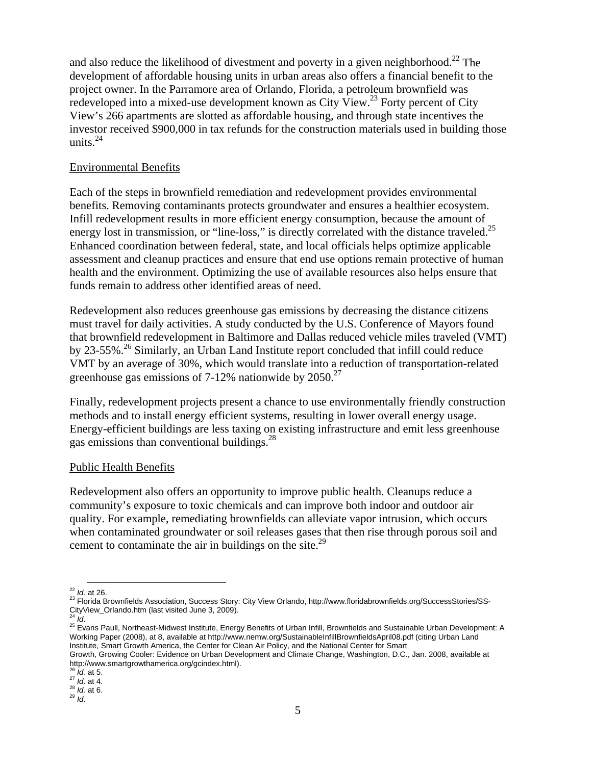and also reduce the likelihood of divestment and poverty in a given neighborhood.<sup>22</sup> The development of affordable housing units in urban areas also offers a financial benefit to the project owner. In the Parramore area of Orlando, Florida, a petroleum brownfield was redeveloped into a mixed-use development known as City View.<sup>23</sup> Forty percent of City View's 266 apartments are slotted as affordable housing, and through state incentives the investor received \$900,000 in tax refunds for the construction materials used in building those units. $^{24}$ 

## Environmental Benefits

Each of the steps in brownfield remediation and redevelopment provides environmental benefits. Removing contaminants protects groundwater and ensures a healthier ecosystem. Infill redevelopment results in more efficient energy consumption, because the amount of energy lost in transmission, or "line-loss," is directly correlated with the distance traveled.<sup>25</sup> Enhanced coordination between federal, state, and local officials helps optimize applicable assessment and cleanup practices and ensure that end use options remain protective of human health and the environment. Optimizing the use of available resources also helps ensure that funds remain to address other identified areas of need.

Redevelopment also reduces greenhouse gas emissions by decreasing the distance citizens must travel for daily activities. A study conducted by the U.S. Conference of Mayors found that brownfield redevelopment in Baltimore and Dallas reduced vehicle miles traveled (VMT) by 23-55%.<sup>26</sup> Similarly, an Urban Land Institute report concluded that infill could reduce VMT by an average of 30%, which would translate into a reduction of transportation-related greenhouse gas emissions of  $7-12\%$  nationwide by  $2050.<sup>27</sup>$ 

Finally, redevelopment projects present a chance to use environmentally friendly construction methods and to install energy efficient systems, resulting in lower overall energy usage. Energy-efficient buildings are less taxing on existing infrastructure and emit less greenhouse gas emissions than conventional buildings.<sup>28</sup>

## Public Health Benefits

Redevelopment also offers an opportunity to improve public health. Cleanups reduce a community's exposure to toxic chemicals and can improve both indoor and outdoor air quality. For example, remediating brownfields can alleviate vapor intrusion, which occurs when contaminated groundwater or soil releases gases that then rise through porous soil and cement to contaminate the air in buildings on the site. $^{29}$ 

<span id="page-4-2"></span>

<span id="page-4-3"></span><sup>25</sup> Evans Paull, Northeast-Midwest Institute, Energy Benefits of Urban Infill, Brownfields and Sustainable Urban Development: A Working Paper (2008), at 8, available at http://www.nemw.org/SustainableInfillBrownfieldsApril08.pdf (citing Urban Land Institute, Smart Growth America, the Center for Clean Air Policy, and the National Center for Smart

<span id="page-4-1"></span><span id="page-4-0"></span>

<sup>&</sup>lt;sup>22</sup> *Id.* at 26.<br><sup>23</sup> Florida Brownfields Association, Success Story: City View Orlando, http://www.floridabrownfields.org/SuccessStories/SS-<br>CityView\_Orlando.htm (last visited June 3, 2009).<br><sup>24</sup> *Id.* 

Growth, Growing Cooler: Evidence on Urban Development and Climate Change, Washington, D.C., Jan. 2008, available at http://www.smartgrowthamerica.org/gcindex.html).<br><sup>26</sup> Id. at 5.

<span id="page-4-4"></span>

<span id="page-4-5"></span><sup>26</sup> *Id.* at 5. 27 *Id*. at 4. 28 *Id.* at 6. 29 *Id*.

<span id="page-4-6"></span>

<span id="page-4-7"></span>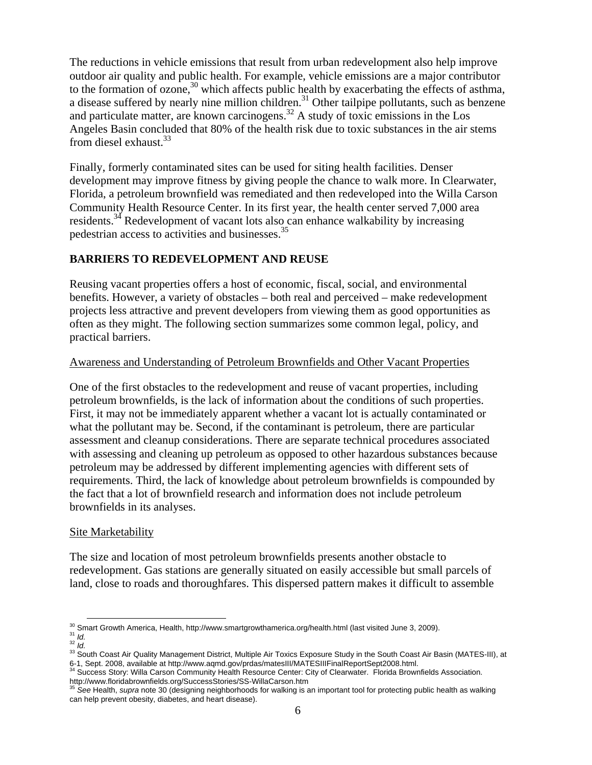The reductions in vehicle emissions that result from urban redevelopment also help improve outdoor air quality and public health. For example, vehicle emissions are a major contributor to the formation of ozone, $30$  which affects public health by exacerbating the effects of asthma, a disease suffered by nearly nine million children.<sup>31</sup> Other tailpipe pollutants, such as benzene and particulate matter, are known carcinogens.<sup>32</sup> A study of toxic emissions in the Los Angeles Basin concluded that 80% of the health risk due to toxic substances in the air stems from diesel exhaust. $33$ 

Finally, formerly contaminated sites can be used for siting health facilities. Denser development may improve fitness by giving people the chance to walk more. In Clearwater, Florida, a petroleum brownfield was remediated and then redeveloped into the Willa Carson Community Health Resource Center. In its first year, the health center served 7,000 area residents.<sup>34</sup> Redevelopment of vacant lots also can enhance walkability by increasing pedestrian access to activities and businesses.[35](#page-5-5)

# **BARRIERS TO REDEVELOPMENT AND REUSE**

Reusing vacant properties offers a host of economic, fiscal, social, and environmental benefits. However, a variety of obstacles – both real and perceived – make redevelopment projects less attractive and prevent developers from viewing them as good opportunities as often as they might. The following section summarizes some common legal, policy, and practical barriers.

# Awareness and Understanding of Petroleum Brownfields and Other Vacant Properties

One of the first obstacles to the redevelopment and reuse of vacant properties, including petroleum brownfields, is the lack of information about the conditions of such properties. First, it may not be immediately apparent whether a vacant lot is actually contaminated or what the pollutant may be. Second, if the contaminant is petroleum, there are particular assessment and cleanup considerations. There are separate technical procedures associated with assessing and cleaning up petroleum as opposed to other hazardous substances because petroleum may be addressed by different implementing agencies with different sets of requirements. Third, the lack of knowledge about petroleum brownfields is compounded by the fact that a lot of brownfield research and information does not include petroleum brownfields in its analyses.

## Site Marketability

The size and location of most petroleum brownfields presents another obstacle to redevelopment. Gas stations are generally situated on easily accessible but small parcels of land, close to roads and thoroughfares. This dispersed pattern makes it difficult to assemble

<span id="page-5-0"></span>

<span id="page-5-1"></span>

<span id="page-5-3"></span><span id="page-5-2"></span>

<sup>&</sup>lt;sup>30</sup> Smart Growth America, Health, http://www.smartgrowthamerica.org/health.html (last visited June 3, 2009).<br><sup>31</sup> *Id.*<br><sup>32</sup> *Id.*<br><sup>33</sup> South Coast Air Quality Management District, Multiple Air Toxics Exposure Study in t 6-1, Sept. 2008, available at http://www.aqmd.gov/prdas/matesIII/MATESIIIFinalReportSept2008.html.<br><sup>34</sup> Success Story: Willa Carson Community Health Resource Center: City of Clearwater. Florida Brownfields Association.

<span id="page-5-4"></span>http://www.floridabrownfields.org/SuccessStories/SS-WillaCarson.htm <sup>35</sup> *See* Health, *supra* note 30 (designing neighborhoods for walking is an important tool for protecting public health as walking

<span id="page-5-5"></span>can help prevent obesity, diabetes, and heart disease).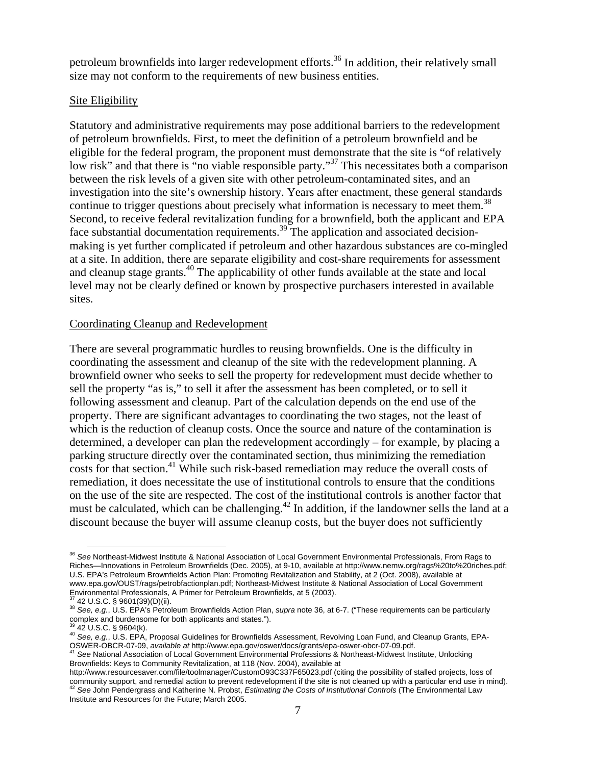petroleum brownfields into larger redevelopment efforts.<sup>36</sup> In addition, their relatively small size may not conform to the requirements of new business entities.

## Site Eligibility

Statutory and administrative requirements may pose additional barriers to the redevelopment of petroleum brownfields. First, to meet the definition of a petroleum brownfield and be eligible for the federal program, the proponent must demonstrate that the site is "of relatively low risk" and that there is "no viable responsible party."<sup>37</sup> This necessitates both a comparison between the risk levels of a given site with other petroleum-contaminated sites, and an investigation into the site's ownership history. Years after enactment, these general standards continue to trigger questions about precisely what information is necessary to meet them.<sup>[38](#page-6-2)</sup> Second, to receive federal revitalization funding for a brownfield, both the applicant and EPA face substantial documentation requirements.<sup>39</sup> The application and associated decisionmaking is yet further complicated if petroleum and other hazardous substances are co-mingled at a site. In addition, there are separate eligibility and cost-share requirements for assessment and cleanup stage grants.<sup>40</sup> The applicability of other funds available at the state and local level may not be clearly defined or known by prospective purchasers interested in available sites.

## Coordinating Cleanup and Redevelopment

There are several programmatic hurdles to reusing brownfields. One is the difficulty in coordinating the assessment and cleanup of the site with the redevelopment planning. A brownfield owner who seeks to sell the property for redevelopment must decide whether to sell the property "as is," to sell it after the assessment has been completed, or to sell it following assessment and cleanup. Part of the calculation depends on the end use of the property. There are significant advantages to coordinating the two stages, not the least of which is the reduction of cleanup costs. Once the source and nature of the contamination is determined, a developer can plan the redevelopment accordingly – for example, by placing a parking structure directly over the contaminated section, thus minimizing the remediation costs for that section.<sup>41</sup> While such risk-based remediation may reduce the overall costs of remediation, it does necessitate the use of institutional controls to ensure that the conditions on the use of the site are respected. The cost of the institutional controls is another factor that must be calculated, which can be challenging.<sup>42</sup> In addition, if the landowner sells the land at a discount because the buyer will assume cleanup costs, but the buyer does not sufficiently

<span id="page-6-0"></span><sup>36</sup> *See* Northeast-Midwest Institute & National Association of Local Government Environmental Professionals, From Rags to Riches—Innovations in Petroleum Brownfields (Dec. 2005), at 9-10, available at http://www.nemw.org/rags%20to%20riches.pdf; U.S. EPA's Petroleum Brownfields Action Plan: Promoting Revitalization and Stability, at 2 (Oct. 2008), available at www.epa.gov/OUST/rags/petrobfactionplan.pdf; Northeast-Midwest Institute & National Association of Local Government Environmental Professionals, A Primer for Petroleum Brownfields, at 5 (2003).

<span id="page-6-1"></span>

<span id="page-6-2"></span><sup>37 42</sup> U.S.C. § 9601(39)(D)(ii). 38 *See, e.g.*, U.S. EPA's Petroleum Brownfields Action Plan, *supra* note 36, at 6-7. ("These requirements can be particularly complex and burdensome for both applicants and states.").<br><sup>39</sup> 42 U.S.C. § 9604(k).

<span id="page-6-3"></span>

<span id="page-6-4"></span><sup>39 42</sup> U.S.C. § 9604(k). 40 *See, e.g.*, U.S. EPA, Proposal Guidelines for Brownfields Assessment, Revolving Loan Fund, and Cleanup Grants, EPA-OSWER-OBCR-07-09, *available at* http://www.epa.gov/oswer/docs/grants/epa-oswer-obcr-07-09.pdf. <sup>41</sup> *See* National Association of Local Government Environmental Professions & Northeast-Midwest Institute, Unlocking

<span id="page-6-5"></span>Brownfields: Keys to Community Revitalization, at 118 (Nov. 2004), available at

<span id="page-6-6"></span>http://www.resourcesaver.com/file/toolmanager/CustomO93C337F65023.pdf (citing the possibility of stalled projects, loss of community support, and remedial action to prevent redevelopment if the site is not cleaned up with a particular end use in mind).<br><sup>42</sup> See John Pendergrass and Katherine N. Probst, *Estimating the Costs of Institutional Co* Institute and Resources for the Future; March 2005.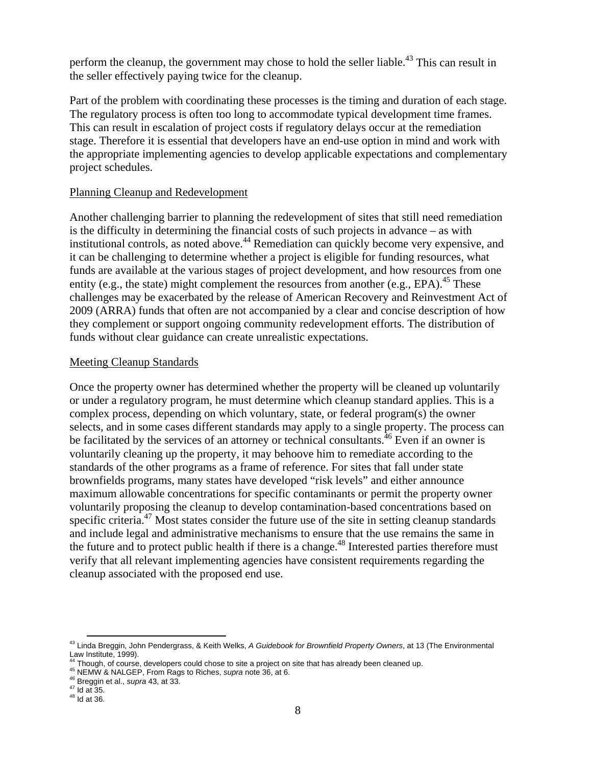perform the cleanup, the government may chose to hold the seller liable.<sup>43</sup> This can result in the seller effectively paying twice for the cleanup.

Part of the problem with coordinating these processes is the timing and duration of each stage. The regulatory process is often too long to accommodate typical development time frames. This can result in escalation of project costs if regulatory delays occur at the remediation stage. Therefore it is essential that developers have an end-use option in mind and work with the appropriate implementing agencies to develop applicable expectations and complementary project schedules.

#### Planning Cleanup and Redevelopment

Another challenging barrier to planning the redevelopment of sites that still need remediation is the difficulty in determining the financial costs of such projects in advance – as with institutional controls, as noted above.<sup>44</sup> Remediation can quickly become very expensive, and it can be challenging to determine whether a project is eligible for funding resources, what funds are available at the various stages of project development, and how resources from one entity (e.g., the state) might complement the resources from another (e.g., EPA).<sup>45</sup> These challenges may be exacerbated by the release of American Recovery and Reinvestment Act of 2009 (ARRA) funds that often are not accompanied by a clear and concise description of how they complement or support ongoing community redevelopment efforts. The distribution of funds without clear guidance can create unrealistic expectations.

## Meeting Cleanup Standards

Once the property owner has determined whether the property will be cleaned up voluntarily or under a regulatory program, he must determine which cleanup standard applies. This is a complex process, depending on which voluntary, state, or federal program(s) the owner selects, and in some cases different standards may apply to a single property. The process can be facilitated by the services of an attorney or technical consultants.<sup>46</sup> Even if an owner is voluntarily cleaning up the property, it may behoove him to remediate according to the standards of the other programs as a frame of reference. For sites that fall under state brownfields programs, many states have developed "risk levels" and either announce maximum allowable concentrations for specific contaminants or permit the property owner voluntarily proposing the cleanup to develop contamination-based concentrations based on specific criteria.<sup>47</sup> Most states consider the future use of the site in setting cleanup standards and include legal and administrative mechanisms to ensure that the use remains the same in the future and to protect public health if there is a change.<sup>48</sup> Interested parties therefore must verify that all relevant implementing agencies have consistent requirements regarding the cleanup associated with the proposed end use.

<span id="page-7-0"></span>43 Linda Breggin, John Pendergrass, & Keith Welks, *A Guidebook for Brownfield Property Owners*, at 13 (The Environmental Law Institute, 1999).

<span id="page-7-1"></span><sup>&</sup>lt;sup>44</sup> Though, of course, developers could chose to site a project on site that has already been cleaned up.<br><sup>45</sup> NEMW & NALGEP, From Rags to Riches, *supra* note 36, at 6.<br><sup>46</sup> Breggin et al., *supra* 43, at 33.<br><sup>47</sup> Id at

<span id="page-7-2"></span>

<span id="page-7-3"></span>

<span id="page-7-4"></span>

<span id="page-7-5"></span>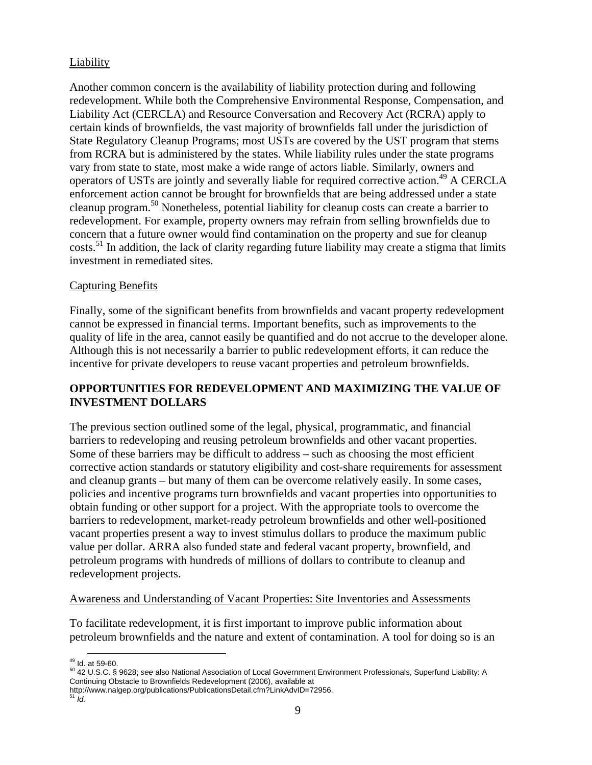# Liability

Another common concern is the availability of liability protection during and following redevelopment. While both the Comprehensive Environmental Response, Compensation, and Liability Act (CERCLA) and Resource Conversation and Recovery Act (RCRA) apply to certain kinds of brownfields, the vast majority of brownfields fall under the jurisdiction of State Regulatory Cleanup Programs; most USTs are covered by the UST program that stems from RCRA but is administered by the states. While liability rules under the state programs vary from state to state, most make a wide range of actors liable. Similarly, owners and operators of USTs are jointly and severally liable for required corrective action.<sup>49</sup> A CERCLA enforcement action cannot be brought for brownfields that are being addressed under a state cleanup program.[50 N](#page-8-1)onetheless, potential liability for cleanup costs can create a barrier to redevelopment. For example, property owners may refrain from selling brownfields due to concern that a future owner would find contamination on the property and sue for cleanup costs[.51](#page-8-2) In addition, the lack of clarity regarding future liability may create a stigma that limits investment in remediated sites.

# Capturing Benefits

Finally, some of the significant benefits from brownfields and vacant property redevelopment cannot be expressed in financial terms. Important benefits, such as improvements to the quality of life in the area, cannot easily be quantified and do not accrue to the developer alone. Although this is not necessarily a barrier to public redevelopment efforts, it can reduce the incentive for private developers to reuse vacant properties and petroleum brownfields.

# **OPPORTUNITIES FOR REDEVELOPMENT AND MAXIMIZING THE VALUE OF INVESTMENT DOLLARS**

The previous section outlined some of the legal, physical, programmatic, and financial barriers to redeveloping and reusing petroleum brownfields and other vacant properties. Some of these barriers may be difficult to address – such as choosing the most efficient corrective action standards or statutory eligibility and cost-share requirements for assessment and cleanup grants – but many of them can be overcome relatively easily. In some cases, policies and incentive programs turn brownfields and vacant properties into opportunities to obtain funding or other support for a project. With the appropriate tools to overcome the barriers to redevelopment, market-ready petroleum brownfields and other well-positioned vacant properties present a way to invest stimulus dollars to produce the maximum public value per dollar. ARRA also funded state and federal vacant property, brownfield, and petroleum programs with hundreds of millions of dollars to contribute to cleanup and redevelopment projects.

## Awareness and Understanding of Vacant Properties: Site Inventories and Assessments

To facilitate redevelopment, it is first important to improve public information about petroleum brownfields and the nature and extent of contamination. A tool for doing so is an

<span id="page-8-1"></span><span id="page-8-0"></span>

<sup>&</sup>lt;sup>49</sup> Id. at 59-60.<br><sup>50</sup> 42 U.S.C. § 9628; *see* also National Association of Local Government Environment Professionals, Superfund Liability: A Continuing Obstacle to Brownfields Redevelopment (2006), available at

http://www.nalgep.org/publications/PublicationsDetail.cfm?LinkAdvID=72956.<br><sup>51</sup> *Id.* 

<span id="page-8-2"></span>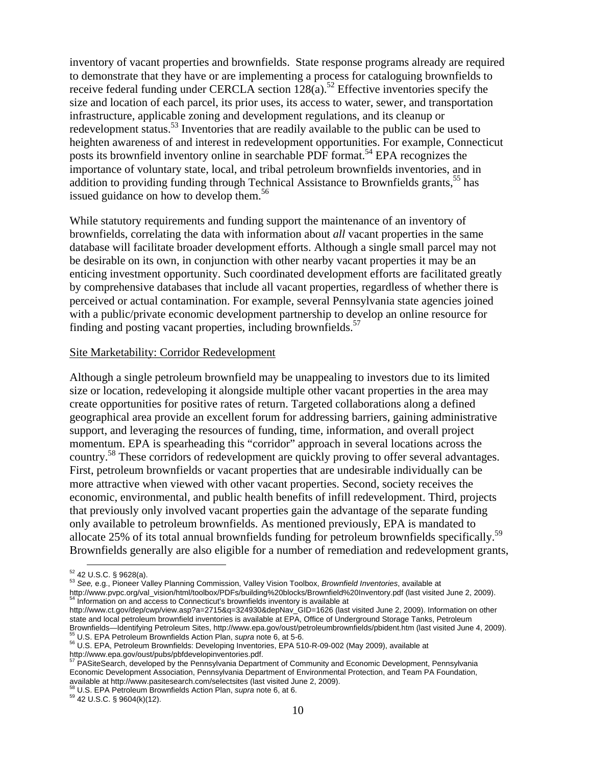inventory of vacant properties and brownfields. State response programs already are required to demonstrate that they have or are implementing a process for cataloguing brownfields to receive federal funding under CERCLA section  $128(a)$ .<sup>52</sup> Effective inventories specify the size and location of each parcel, its prior uses, its access to water, sewer, and transportation infrastructure, applicable zoning and development regulations, and its cleanup or redevelopment status.<sup>53</sup> Inventories that are readily available to the public can be used to heighten awareness of and interest in redevelopment opportunities. For example, Connecticut posts its brownfield inventory online in searchable PDF format.<sup>54</sup> EPA recognizes the importance of voluntary state, local, and tribal petroleum brownfields inventories, and in addition to providing funding through Technical Assistance to Brownfields grants,<sup>55</sup> has issued guidance on how to develop them.<sup>[56](#page-9-4)</sup>

While statutory requirements and funding support the maintenance of an inventory of brownfields, correlating the data with information about *all* vacant properties in the same database will facilitate broader development efforts. Although a single small parcel may not be desirable on its own, in conjunction with other nearby vacant properties it may be an enticing investment opportunity. Such coordinated development efforts are facilitated greatly by comprehensive databases that include all vacant properties, regardless of whether there is perceived or actual contamination. For example, several Pennsylvania state agencies joined with a public/private economic development partnership to develop an online resource for finding and posting vacant properties, including brownfields. $57$ 

#### Site Marketability: Corridor Redevelopment

Although a single petroleum brownfield may be unappealing to investors due to its limited size or location, redeveloping it alongside multiple other vacant properties in the area may create opportunities for positive rates of return. Targeted collaborations along a defined geographical area provide an excellent forum for addressing barriers, gaining administrative support, and leveraging the resources of funding, time, information, and overall project momentum. EPA is spearheading this "corridor" approach in several locations across the country.<sup>58</sup> These corridors of redevelopment are quickly proving to offer several advantages. First, petroleum brownfields or vacant properties that are undesirable individually can be more attractive when viewed with other vacant properties. Second, society receives the economic, environmental, and public health benefits of infill redevelopment. Third, projects that previously only involved vacant properties gain the advantage of the separate funding only available to petroleum brownfields. As mentioned previously, EPA is mandated to allocate 25% of its total annual brownfields funding for petroleum brownfields specifically.<sup>[59](#page-9-7)</sup> Brownfields generally are also eligible for a number of remediation and redevelopment grants,

<span id="page-9-5"></span>57 PASiteSearch, developed by the Pennsylvania Department of Community and Economic Development, Pennsylvania Economic Development Association, Pennsylvania Department of Environmental Protection, and Team PA Foundation, available at http://www.pasitesearch.com/selectsites (last visited June 2, 2009). 58 U.S. EPA Petroleum Brownfields Action Plan, *supra* note 6, at 6. 59 42 U.S.C. § 9604(k)(12).

<span id="page-9-1"></span><span id="page-9-0"></span>

<sup>&</sup>lt;sup>52</sup> 42 U.S.C. § 9628(a).<br><sup>53</sup> See, e.g., Pioneer Valley Planning Commission, Valley Vision Toolbox, *Brownfield Inventories*, available at

http://www.pvpc.org/val\_vision/html/toolbox/PDFs/building%20blocks/Brownfield%20Inventory.pdf (last visited June 2, 2009).<br><sup>54</sup> Information on and access to Connecticut's brownfields inventory is available at

<span id="page-9-2"></span>http://www.ct.gov/dep/cwp/view.asp?a=2715&q=324930&depNav\_GID=1626 (last visited June 2, 2009). Information on other state and local petroleum brownfield inventories is available at EPA, Office of Underground Storage Tanks, Petroleum Brownfields—Identifying Petroleum Sites, http://www.epa.gov/oust/petroleumbrownfields/pbident.htm (last visited June 4, 2009).<br><sup>55</sup> U.S. EPA Petroleum Brownfields Action Plan, supra note 6, at 5-6.

<span id="page-9-3"></span>

<span id="page-9-4"></span><sup>55</sup> U.S. EPA Petroleum Brownfields Action Plan, *supra* note 6, at 5-6. 56 U.S. EPA, Petroleum Brownfields: Developing Inventories, EPA 510-R-09-002 (May 2009), available at http://www.epa.gov/oust/pubs/pbfdevelopinventories.pdf.

<span id="page-9-6"></span>

<span id="page-9-7"></span>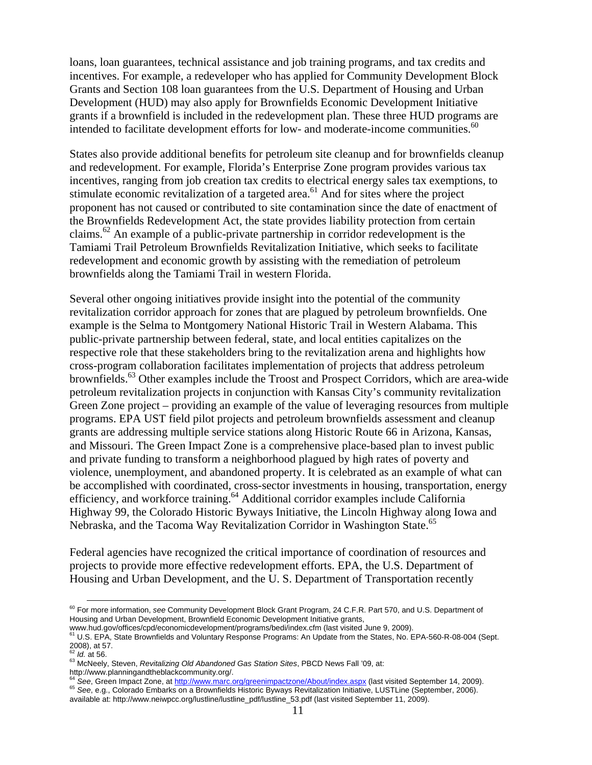loans, loan guarantees, technical assistance and job training programs, and tax credits and incentives. For example, a redeveloper who has applied for Community Development Block Grants and Section 108 loan guarantees from the U.S. Department of Housing and Urban Development (HUD) may also apply for Brownfields Economic Development Initiative grants if a brownfield is included in the redevelopment plan. These three HUD programs are intended to facilitate development efforts for low- and moderate-income communities.<sup>[60](#page-10-0)</sup>

States also provide additional benefits for petroleum site cleanup and for brownfields cleanup and redevelopment. For example, Florida's Enterprise Zone program provides various tax incentives, ranging from job creation tax credits to electrical energy sales tax exemptions, to stimulate economic revitalization of a targeted area.<sup>61</sup> And for sites where the project proponent has not caused or contributed to site contamination since the date of enactment of the Brownfields Redevelopment Act, the state provides liability protection from certain claims.<sup>62</sup> An example of a public-private partnership in corridor redevelopment is the Tamiami Trail Petroleum Brownfields Revitalization Initiative, which seeks to facilitate redevelopment and economic growth by assisting with the remediation of petroleum brownfields along the Tamiami Trail in western Florida.

Several other ongoing initiatives provide insight into the potential of the community revitalization corridor approach for zones that are plagued by petroleum brownfields. One example is the Selma to Montgomery National Historic Trail in Western Alabama. This public-private partnership between federal, state, and local entities capitalizes on the respective role that these stakeholders bring to the revitalization arena and highlights how cross-program collaboration facilitates implementation of projects that address petroleum brownfields.<sup>63</sup> Other examples include the Troost and Prospect Corridors, which are area-wide petroleum revitalization projects in conjunction with Kansas City's community revitalization Green Zone project – providing an example of the value of leveraging resources from multiple programs. EPA UST field pilot projects and petroleum brownfields assessment and cleanup grants are addressing multiple service stations along Historic Route 66 in Arizona, Kansas, and Missouri. The Green Impact Zone is a comprehensive place-based plan to invest public and private funding to transform a neighborhood plagued by high rates of poverty and violence, unemployment, and abandoned property. It is celebrated as an example of what can be accomplished with coordinated, cross-sector investments in housing, transportation, energy efficiency, and workforce training[.64 A](#page-10-4)dditional corridor examples include California Highway 99, the Colorado Historic Byways Initiative, the Lincoln Highway along Iowa and Nebraska, and the Tacoma Way Revitalization Corridor in Washington State.<sup>[65](#page-10-5)</sup>

Federal agencies have recognized the critical importance of coordination of resources and projects to provide more effective redevelopment efforts. EPA, the U.S. Department of Housing and Urban Development, and the U. S. Department of Transportation recently

<span id="page-10-0"></span> $\overline{a}$ 60 For more information, *see* Community Development Block Grant Program, 24 C.F.R. Part 570, and U.S. Department of Housing and Urban Development, Brownfield Economic Development Initiative grants,

<span id="page-10-1"></span>

www.hud.gov/offices/cpd/economicdevelopment/programs/bedi/index.cfm (last visited June 9, 2009).<br><sup>61</sup> U.S. EPA, State Brownfields and Voluntary Response Programs: An Update from the States, No. EPA-560-R-08-004 (Sept. 2008), at 57.<br><sup>62</sup> *Id.* at 56.

<span id="page-10-2"></span>

<span id="page-10-3"></span><sup>62</sup> *Id.* at 56. 63 McNeely, Steven, *Revitalizing Old Abandoned Gas Station Sites*, PBCD News Fall '09, at:

<span id="page-10-5"></span><span id="page-10-4"></span>http://www.planningandtheblackcommunity.org/.<br><sup>64</sup> See, Green Impact Zone, at http://www.marc.org/greenimpactzone/About/index.aspx (last visited September 14, 2009). 65 See, e.g., Colorado Embarks on a Brownfields Historic Byways Revitalization Initiative, LUSTLine (September, 2006). available at: http://www.neiwpcc.org/lustline/lustline\_pdf/lustline\_53.pdf (last visited September 11, 2009).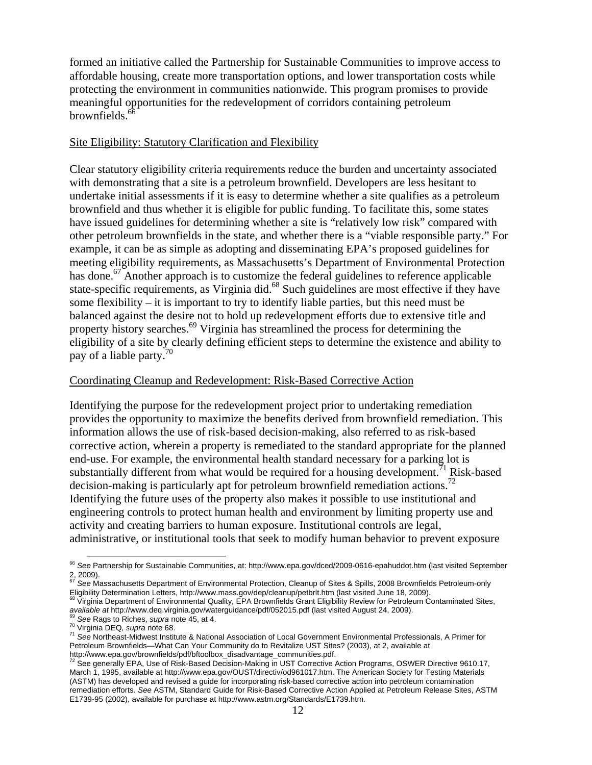formed an initiative called the Partnership for Sustainable Communities to improve access to affordable housing, create more transportation options, and lower transportation costs while protecting the environment in communities nationwide. This program promises to provide meaningful opportunities for the redevelopment of corridors containing petroleum brownfields[.66](#page-11-0) 

## Site Eligibility: Statutory Clarification and Flexibility

Clear statutory eligibility criteria requirements reduce the burden and uncertainty associated with demonstrating that a site is a petroleum brownfield. Developers are less hesitant to undertake initial assessments if it is easy to determine whether a site qualifies as a petroleum brownfield and thus whether it is eligible for public funding. To facilitate this, some states have issued guidelines for determining whether a site is "relatively low risk" compared with other petroleum brownfields in the state, and whether there is a "viable responsible party." For example, it can be as simple as adopting and disseminating EPA's proposed guidelines for meeting eligibility requirements, as Massachusetts's Department of Environmental Protection has done.<sup>67</sup> Another approach is to customize the federal guidelines to reference applicable state-specific requirements, as Virginia did.<sup>68</sup> Such guidelines are most effective if they have some flexibility – it is important to try to identify liable parties, but this need must be balanced against the desire not to hold up redevelopment efforts due to extensive title and property history searches.<sup>69</sup> Virginia has streamlined the process for determining the eligibility of a site by clearly defining efficient steps to determine the existence and ability to pay of a liable party.<sup>70</sup>

## Coordinating Cleanup and Redevelopment: Risk-Based Corrective Action

Identifying the purpose for the redevelopment project prior to undertaking remediation provides the opportunity to maximize the benefits derived from brownfield remediation. This information allows the use of risk-based decision-making, also referred to as risk-based corrective action, wherein a property is remediated to the standard appropriate for the planned end-use. For example, the environmental health standard necessary for a parking lot is substantially different from what would be required for a housing development.<sup>71</sup> Risk-based decision-making is particularly apt for petroleum brownfield remediation actions.<sup>[72](#page-11-6)</sup> Identifying the future uses of the property also makes it possible to use institutional and engineering controls to protect human health and environment by limiting property use and activity and creating barriers to human exposure. Institutional controls are legal, administrative, or institutional tools that seek to modify human behavior to prevent exposure

<span id="page-11-2"></span><sup>68</sup> Virginia Department of Environmental Quality, EPA Brownfields Grant Eligibility Review for Petroleum Contaminated Sites,<br>available at http://www.deq.virginia.gov/waterguidance/pdf/052015.pdf (last visited August 24, 2

<span id="page-11-3"></span>

<span id="page-11-0"></span><sup>&</sup>lt;sup>66</sup> See Partnership for Sustainable Communities, at: http://www.epa.gov/dced/2009-0616-epahuddot.htm (last visited September 2, 2009).

<span id="page-11-1"></span><sup>67</sup> *See* Massachusetts Department of Environmental Protection, Cleanup of Sites & Spills, 2008 Brownfields Petroleum-only Eligibility Determination Letters, http://www.mass.gov/dep/cleanup/petbrlt.htm (last visited June 18, 2009).

<span id="page-11-5"></span><span id="page-11-4"></span>

<sup>&</sup>lt;sup>69</sup> See Rags to Riches, *supra* note 45, at 4.<br><sup>70</sup> Virginia DEQ, *supra* note 68.<br><sup>71</sup> See Northeast-Midwest Institute & National Association of Local Government Environmental Professionals, A Primer for Petroleum Brownfields—What Can Your Community do to Revitalize UST Sites? (2003), at 2, available at<br>http://www.epa.gov/brownfields/pdf/bftoolbox\_disadvantage\_communities.pdf.<br><sup>72</sup> Soo generally EDA. Has at Righ Research C

<span id="page-11-6"></span>See generally EPA, Use of Risk-Based Decision-Making in UST Corrective Action Programs, OSWER Directive 9610.17, March 1, 1995, available at http://www.epa.gov/OUST/directiv/od961017.htm. The American Society for Testing Materials (ASTM) has developed and revised a guide for incorporating risk-based corrective action into petroleum contamination remediation efforts. *See* ASTM, Standard Guide for Risk-Based Corrective Action Applied at Petroleum Release Sites, ASTM E1739-95 (2002), available for purchase at http://www.astm.org/Standards/E1739.htm*.*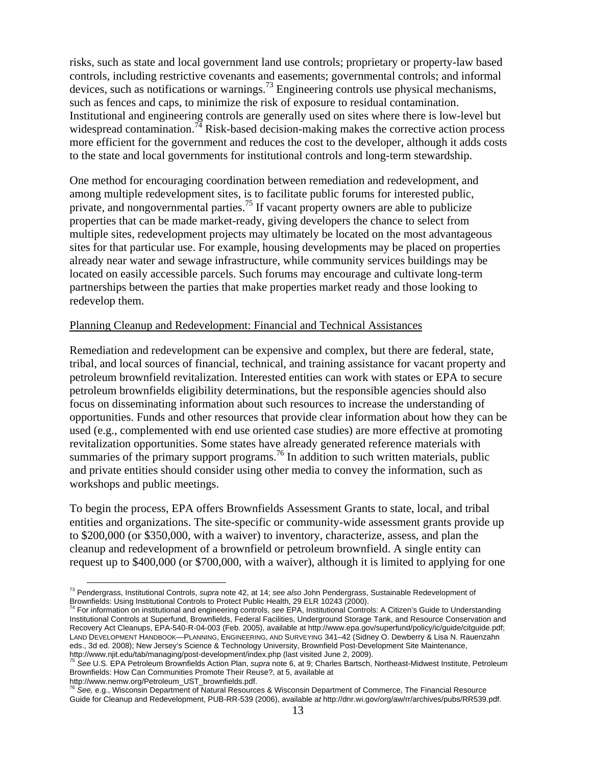risks, such as state and local government land use controls; proprietary or property-law based controls, including restrictive covenants and easements; governmental controls; and informal devices, such as notifications or warnings.<sup>73</sup> Engineering controls use physical mechanisms, such as fences and caps, to minimize the risk of exposure to residual contamination. Institutional and engineering controls are generally used on sites where there is low-level but widespread contamination.<sup>74</sup> Risk-based decision-making makes the corrective action process more efficient for the government and reduces the cost to the developer, although it adds costs to the state and local governments for institutional controls and long-term stewardship.

One method for encouraging coordination between remediation and redevelopment, and among multiple redevelopment sites, is to facilitate public forums for interested public, private, and nongovernmental parties.[75 I](#page-12-2)f vacant property owners are able to publicize properties that can be made market-ready, giving developers the chance to select from multiple sites, redevelopment projects may ultimately be located on the most advantageous sites for that particular use. For example, housing developments may be placed on properties already near water and sewage infrastructure, while community services buildings may be located on easily accessible parcels. Such forums may encourage and cultivate long-term partnerships between the parties that make properties market ready and those looking to redevelop them.

#### Planning Cleanup and Redevelopment: Financial and Technical Assistances

Remediation and redevelopment can be expensive and complex, but there are federal, state, tribal, and local sources of financial, technical, and training assistance for vacant property and petroleum brownfield revitalization. Interested entities can work with states or EPA to secure petroleum brownfields eligibility determinations, but the responsible agencies should also focus on disseminating information about such resources to increase the understanding of opportunities. Funds and other resources that provide clear information about how they can be used (e.g., complemented with end use oriented case studies) are more effective at promoting revitalization opportunities. Some states have already generated reference materials with summaries of the primary support programs.<sup>76</sup> In addition to such written materials, public and private entities should consider using other media to convey the information, such as workshops and public meetings.

To begin the process, EPA offers Brownfields Assessment Grants to state, local, and tribal entities and organizations. The site-specific or community-wide assessment grants provide up to \$200,000 (or \$350,000, with a waiver) to inventory, characterize, assess, and plan the cleanup and redevelopment of a brownfield or petroleum brownfield. A single entity can request up to \$400,000 (or \$700,000, with a waiver), although it is limited to applying for one

<span id="page-12-0"></span>73 Pendergrass, Institutional Controls, *supra* note 42, at 14; *see also* John Pendergrass, Sustainable Redevelopment of

<span id="page-12-1"></span>Brownfields: Using Institutional Controls to Protect Public Health, 29 ELR 10243 (2000).<br><sup>74</sup> For information on institutional and engineering controls, *see* EPA, Institutional Controls: A Citizen's Guide to Understanding Institutional Controls at Superfund, Brownfields, Federal Facilities, Underground Storage Tank, and Resource Conservation and Recovery Act Cleanups, EPA-540-R-04-003 (Feb. 2005), available at http://www.epa.gov/superfund/policy/ic/guide/citguide.pdf; LAND DEVELOPMENT HANDBOOK—PLANNING, ENGINEERING, AND SURVEYING 341–42 (Sidney O. Dewberry & Lisa N. Rauenzahn eds., 3d ed. 2008); New Jersey's Science & Technology University, Brownfield Post-Development Site Maintenance,<br>http://www.njit.edu/tab/managing/post-development/index.php (last visited June 2, 2009).

<span id="page-12-2"></span>See U.S. EPA Petroleum Brownfields Action Plan, supra note 6, at 9; Charles Bartsch, Northeast-Midwest Institute, Petroleum Brownfields: How Can Communities Promote Their Reuse?, at 5, available at

<span id="page-12-3"></span>http://www.nemw.org/Petroleum\_UST\_brownfields.pdf. <sup>76</sup> *See,* e.g., Wisconsin Department of Natural Resources & Wisconsin Department of Commerce, The Financial Resource Guide for Cleanup and Redevelopment, PUB-RR-539 (2006), available a*t* http://dnr.wi.gov/org/aw/rr/archives/pubs/RR539.pdf.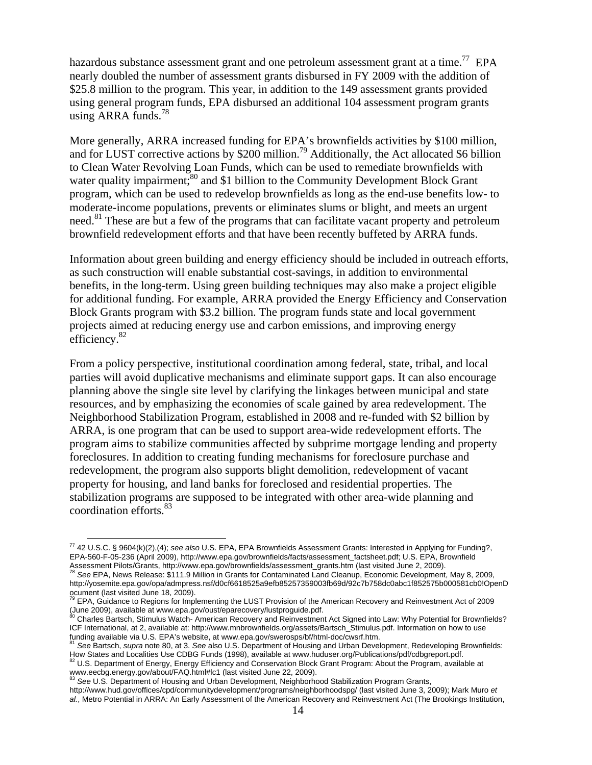hazardous substance assessment grant and one petroleum assessment grant at a time.<sup>77</sup> EPA nearly doubled the number of assessment grants disbursed in FY 2009 with the addition of \$25.8 million to the program. This year, in addition to the 149 assessment grants provided using general program funds, EPA disbursed an additional 104 assessment program grants using ARRA funds. $78$ 

More generally, ARRA increased funding for EPA's brownfields activities by \$100 million, and for LUST corrective actions by \$200 million[.79](#page-13-2) Additionally, the Act allocated \$6 billion to Clean Water Revolving Loan Funds, which can be used to remediate brownfields with water quality impairment;<sup>80</sup> and \$1 billion to the Community Development Block Grant program, which can be used to redevelop brownfields as long as the end-use benefits low- to moderate-income populations, prevents or eliminates slums or blight, and meets an urgent need.<sup>81</sup> These are but a few of the programs that can facilitate vacant property and petroleum brownfield redevelopment efforts and that have been recently buffeted by ARRA funds.

Information about green building and energy efficiency should be included in outreach efforts, as such construction will enable substantial cost-savings, in addition to environmental benefits, in the long-term. Using green building techniques may also make a project eligible for additional funding. For example, ARRA provided the Energy Efficiency and Conservation Block Grants program with \$3.2 billion. The program funds state and local government projects aimed at reducing energy use and carbon emissions, and improving energy efficiency[.82](#page-13-5)

From a policy perspective, institutional coordination among federal, state, tribal, and local parties will avoid duplicative mechanisms and eliminate support gaps. It can also encourage planning above the single site level by clarifying the linkages between municipal and state resources, and by emphasizing the economies of scale gained by area redevelopment. The Neighborhood Stabilization Program, established in 2008 and re-funded with \$2 billion by ARRA, is one program that can be used to support area-wide redevelopment efforts. The program aims to stabilize communities affected by subprime mortgage lending and property foreclosures. In addition to creating funding mechanisms for foreclosure purchase and redevelopment, the program also supports blight demolition, redevelopment of vacant property for housing, and land banks for foreclosed and residential properties. The stabilization programs are supposed to be integrated with other area-wide planning and coordination efforts.[83](#page-13-6)

<span id="page-13-0"></span> $\overline{a}$ 77 42 U.S.C. § 9604(k)(2),(4); *see also* U.S. EPA, EPA Brownfields Assessment Grants: Interested in Applying for Funding?, EPA-560-F-05-236 (April 2009), http://www.epa.gov/brownfields/facts/assessment\_factsheet.pdf; U.S. EPA, Brownfield Assessment Pilots/Grants, http://www.epa.gov/brownfields/assessment\_grants.htm (last visited June 2, 2009).<br><sup>78</sup> See EPA, News Release: \$111.9 Million in Grants for Contaminated Land Cleanup, Economic Development, May 8, 2

<span id="page-13-1"></span>http://yosemite.epa.gov/opa/admpress.nsf/d0cf6618525a9efb85257359003fb69d/92c7b758dc0abc1f852575b000581cb0!OpenD ocument (last visited June 18, 2009).

<span id="page-13-2"></span><sup>79</sup> EPA, Guidance to Regions for Implementing the LUST Provision of the American Recovery and Reinvestment Act of 2009 (June 2009), available at www.epa.gov/oust/eparecovery/lustproguide.pdf.<br>80 Charles Bartsch, Stimulus Watch- American Recovery and Reinvestment Act Signed into Law: Why Potential for Brownfields?

<span id="page-13-3"></span>ICF International, at 2, available at: http://www.mnbrownfields.org/assets/Bartsch\_Stimulus.pdf. Information on how to use<br>funding available via U.S. EPA's website, at www.epa.gov/swerosps/bf/html-doc/cwsrf.htm.

<span id="page-13-4"></span><sup>&</sup>lt;sup>81</sup> See Bartsch, supra note 80, at 3. See also U.S. Department of Housing and Urban Development, Redeveloping Brownfields: How States and Localities Use CDBG Funds (1998), available at www.huduser.org/Publications/pdf/cdbgreport.pdf.<br><sup>82</sup> U.S. Department of Energy, Energy Efficiency and Conservation Block Grant Program: About the Program, avai

<span id="page-13-5"></span>www.eecbg.energy.gov/about/FAQ.html#lc1 (last visited June 22, 2009).<br><sup>83</sup> See U.S. Department of Housing and Urban Development, Neighborhood Stabilization Program Grants,

<span id="page-13-6"></span>

http://www.hud.gov/offices/cpd/communitydevelopment/programs/neighborhoodspg/ (last visited June 3, 2009); Mark Muro *et al.*, Metro Potential in ARRA: An Early Assessment of the American Recovery and Reinvestment Act (The Brookings Institution,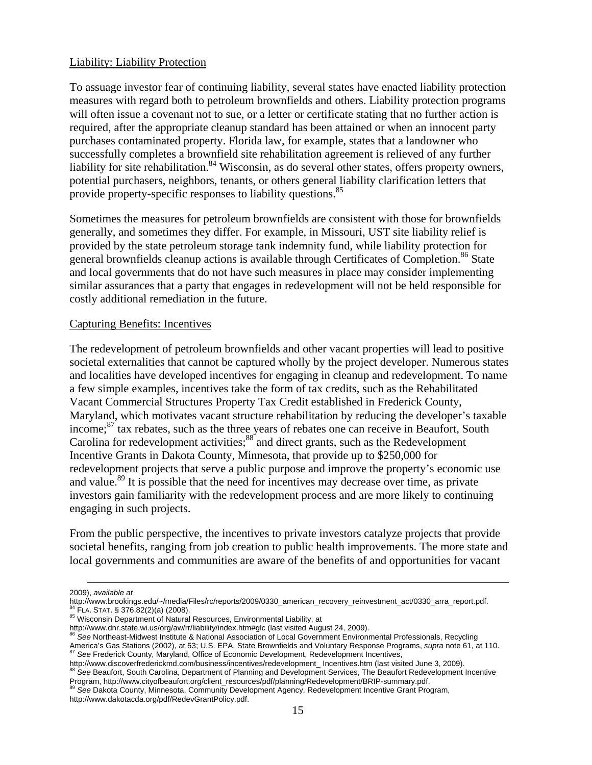#### Liability: Liability Protection

To assuage investor fear of continuing liability, several states have enacted liability protection measures with regard both to petroleum brownfields and others. Liability protection programs will often issue a covenant not to sue, or a letter or certificate stating that no further action is required, after the appropriate cleanup standard has been attained or when an innocent party purchases contaminated property. Florida law, for example, states that a landowner who successfully completes a brownfield site rehabilitation agreement is relieved of any further liability for site rehabilitation.<sup>84</sup> Wisconsin, as do several other states, offers property owners, potential purchasers, neighbors, tenants, or others general liability clarification letters that provide property-specific responses to liability questions.<sup>85</sup>

Sometimes the measures for petroleum brownfields are consistent with those for brownfields generally, and sometimes they differ. For example, in Missouri, UST site liability relief is provided by the state petroleum storage tank indemnity fund, while liability protection for general brownfields cleanup actions is available through Certificates of Completion.<sup>86</sup> State and local governments that do not have such measures in place may consider implementing similar assurances that a party that engages in redevelopment will not be held responsible for costly additional remediation in the future.

## Capturing Benefits: Incentives

The redevelopment of petroleum brownfields and other vacant properties will lead to positive societal externalities that cannot be captured wholly by the project developer. Numerous states and localities have developed incentives for engaging in cleanup and redevelopment. To name a few simple examples, incentives take the form of tax credits, such as the Rehabilitated Vacant Commercial Structures Property Tax Credit established in Frederick County, Maryland, which motivates vacant structure rehabilitation by reducing the developer's taxable income;<sup>87</sup> tax rebates, such as the three years of rebates one can receive in Beaufort, South Carolina for redevelopment activities;<sup>88</sup> and direct grants, such as the Redevelopment Incentive Grants in Dakota County, Minnesota, that provide up to \$250,000 for redevelopment projects that serve a public purpose and improve the property's economic use and value.<sup>89</sup> It is possible that the need for incentives may decrease over time, as private investors gain familiarity with the redevelopment process and are more likely to continuing engaging in such projects.

From the public perspective, the incentives to private investors catalyze projects that provide societal benefits, ranging from job creation to public health improvements. The more state and local governments and communities are aware of the benefits of and opportunities for vacant

1

<span id="page-14-5"></span><span id="page-14-4"></span>Program, http://www.cityofbeaufort.org/client\_resources/pdf/planning/Redevelopment/BRIP-summary.pdf. 89 *See* Dakota County, Minnesota, Community Development Agency, Redevelopment Incentive Grant Program, http://www.dakotacda.org/pdf/RedevGrantPolicy.pdf.

<sup>2009),</sup> *available at* 

<span id="page-14-0"></span>http://www.brookings.edu/~/media/Files/rc/reports/2009/0330\_american\_recovery\_reinvestment\_act/0330\_arra\_report.pdf.<br><sup>84</sup> FLA. STAT. § 376.82(2)(a) (2008).<br><sup>85</sup> Wisconsin Department of Natural Resources, Environmental Liab

<span id="page-14-1"></span>

http://www.dnr.state.wi.us/org/aw/rr/liability/index.htm#glc (last visited August 24, 2009). <sup>86</sup> *See* Northeast-Midwest Institute & National Association of Local Government Environmental Professionals, Recycling

<span id="page-14-2"></span>America's Gas Stations (2002), at 53; U.S. EPA, State Brownfields and Voluntary Response Programs, supra note 61, at 110.<br><sup>87</sup> See Frederick County, Maryland, Office of Economic Development, Redevelopment Incentives,

<span id="page-14-3"></span>http://www.discoverfrederickmd.com/business/incentives/redevelopment\_Incentives.htm (last visited June 3, 2009).<br><sup>88</sup> See Beaufort, South Carolina, Department of Planning and Development Services, The Beaufort Redevelopmen